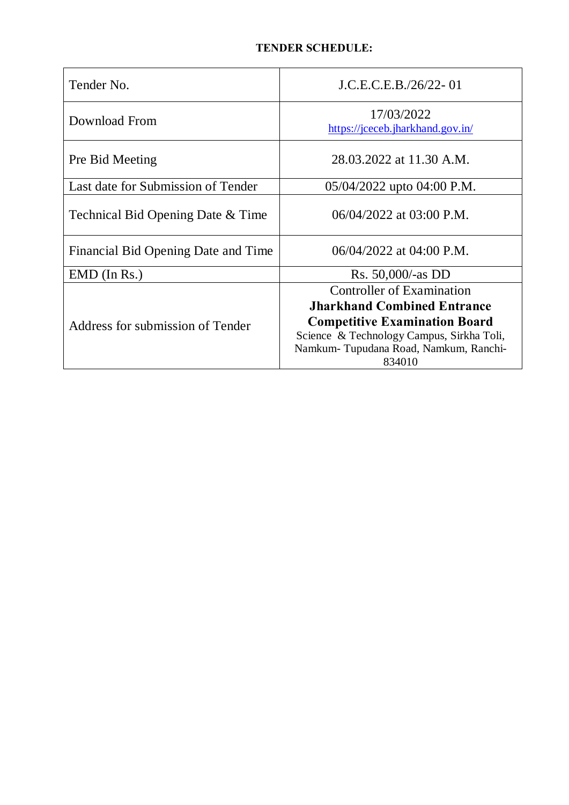| Tender No.                          | J.C.E.C.E.B./26/22-01                                                                                                                                |
|-------------------------------------|------------------------------------------------------------------------------------------------------------------------------------------------------|
| Download From                       | 17/03/2022<br>https://jceceb.jharkhand.gov.in/                                                                                                       |
| Pre Bid Meeting                     | 28.03.2022 at 11.30 A.M.                                                                                                                             |
| Last date for Submission of Tender  | 05/04/2022 upto 04:00 P.M.                                                                                                                           |
| Technical Bid Opening Date & Time   | $06/04/2022$ at $03:00$ P.M.                                                                                                                         |
| Financial Bid Opening Date and Time | $06/04/2022$ at 04:00 P.M.                                                                                                                           |
| $EMD$ (In Rs.)                      | Rs. 50,000/-as DD                                                                                                                                    |
| Address for submission of Tender    | Controller of Examination<br><b>Jharkhand Combined Entrance</b><br><b>Competitive Examination Board</b><br>Science & Technology Campus, Sirkha Toli, |
|                                     | Namkum-Tupudana Road, Namkum, Ranchi-<br>834010                                                                                                      |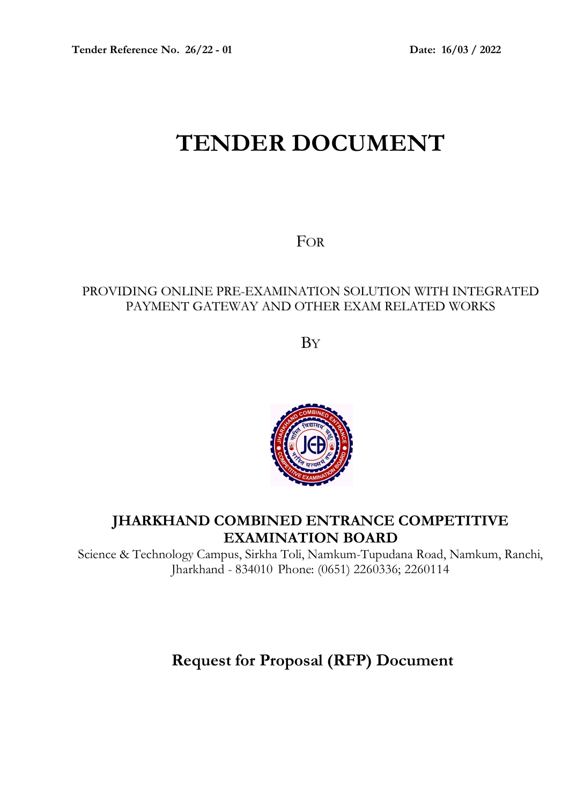# **TENDER DOCUMENT**

FOR

## PROVIDING ONLINE PRE-EXAMINATION SOLUTION WITH INTEGRATED PAYMENT GATEWAY AND OTHER EXAM RELATED WORKS

**B**Y



## **JHARKHAND COMBINED ENTRANCE COMPETITIVE EXAMINATION BOARD**

Science & Technology Campus, Sirkha Toli, Namkum-Tupudana Road, Namkum, Ranchi, Jharkhand - 834010 Phone: (0651) 2260336; 2260114

# **Request for Proposal (RFP) Document**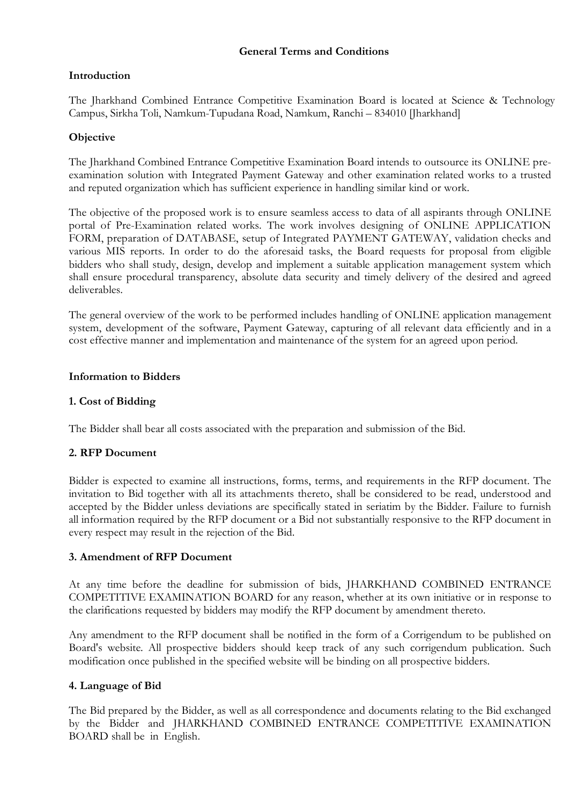#### **General Terms and Conditions**

#### **Introduction**

The Jharkhand Combined Entrance Competitive Examination Board is located at Science & Technology Campus, Sirkha Toli, Namkum-Tupudana Road, Namkum, Ranchi – 834010 [Jharkhand]

#### **Objective**

The Jharkhand Combined Entrance Competitive Examination Board intends to outsource its ONLINE preexamination solution with Integrated Payment Gateway and other examination related works to a trusted and reputed organization which has sufficient experience in handling similar kind or work.

The objective of the proposed work is to ensure seamless access to data of all aspirants through ONLINE portal of Pre-Examination related works. The work involves designing of ONLINE APPLICATION FORM, preparation of DATABASE, setup of Integrated PAYMENT GATEWAY, validation checks and various MIS reports. In order to do the aforesaid tasks, the Board requests for proposal from eligible bidders who shall study, design, develop and implement a suitable application management system which shall ensure procedural transparency, absolute data security and timely delivery of the desired and agreed deliverables.

The general overview of the work to be performed includes handling of ONLINE application management system, development of the software, Payment Gateway, capturing of all relevant data efficiently and in a cost effective manner and implementation and maintenance of the system for an agreed upon period.

#### **Information to Bidders**

#### **1. Cost of Bidding**

The Bidder shall bear all costs associated with the preparation and submission of the Bid.

## **2. RFP Document**

Bidder is expected to examine all instructions, forms, terms, and requirements in the RFP document. The invitation to Bid together with all its attachments thereto, shall be considered to be read, understood and accepted by the Bidder unless deviations are specifically stated in seriatim by the Bidder. Failure to furnish all information required by the RFP document or a Bid not substantially responsive to the RFP document in every respect may result in the rejection of the Bid.

#### **3. Amendment of RFP Document**

At any time before the deadline for submission of bids, JHARKHAND COMBINED ENTRANCE COMPETITIVE EXAMINATION BOARD for any reason, whether at its own initiative or in response to the clarifications requested by bidders may modify the RFP document by amendment thereto.

Any amendment to the RFP document shall be notified in the form of a Corrigendum to be published on Board's website. All prospective bidders should keep track of any such corrigendum publication. Such modification once published in the specified website will be binding on all prospective bidders.

#### **4. Language of Bid**

The Bid prepared by the Bidder, as well as all correspondence and documents relating to the Bid exchanged by the Bidder and JHARKHAND COMBINED ENTRANCE COMPETITIVE EXAMINATION BOARD shall be in English.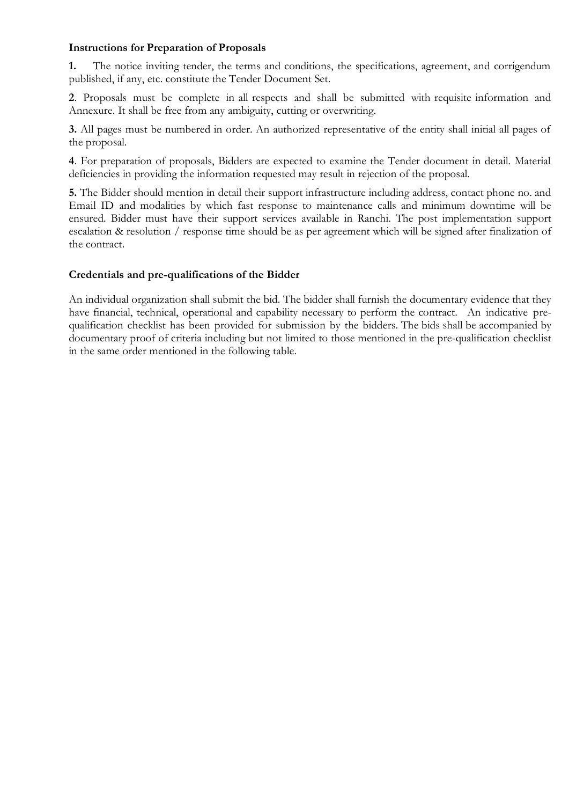#### **Instructions for Preparation of Proposals**

**1.** The notice inviting tender, the terms and conditions, the specifications, agreement, and corrigendum published, if any, etc. constitute the Tender Document Set.

**2**. Proposals must be complete in all respects and shall be submitted with requisite information and Annexure. It shall be free from any ambiguity, cutting or overwriting.

**3.** All pages must be numbered in order. An authorized representative of the entity shall initial all pages of the proposal.

**4**. For preparation of proposals, Bidders are expected to examine the Tender document in detail. Material deficiencies in providing the information requested may result in rejection of the proposal.

**5.** The Bidder should mention in detail their support infrastructure including address, contact phone no. and Email ID and modalities by which fast response to maintenance calls and minimum downtime will be ensured. Bidder must have their support services available in Ranchi. The post implementation support escalation & resolution / response time should be as per agreement which will be signed after finalization of the contract.

#### **Credentials and pre-qualifications of the Bidder**

An individual organization shall submit the bid. The bidder shall furnish the documentary evidence that they have financial, technical, operational and capability necessary to perform the contract. An indicative prequalification checklist has been provided for submission by the bidders. The bids shall be accompanied by documentary proof of criteria including but not limited to those mentioned in the pre-qualification checklist in the same order mentioned in the following table.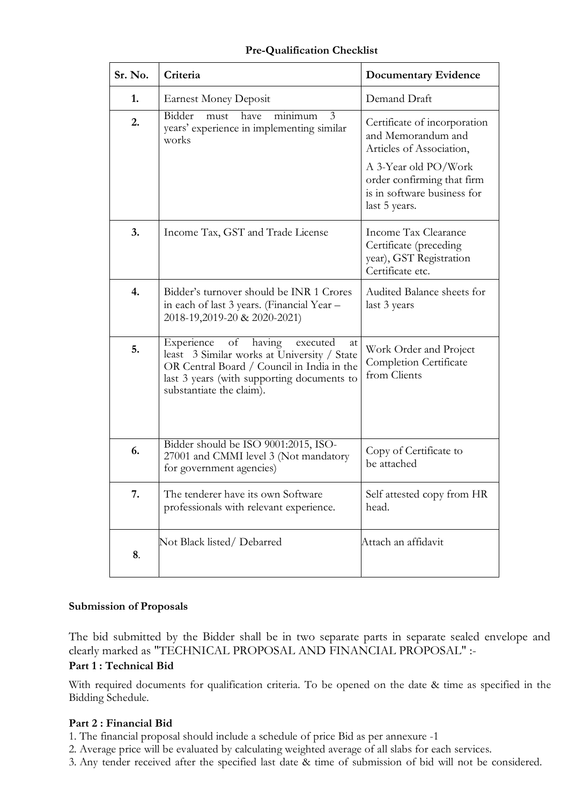| Sr. No. | Criteria                                                                                                                                                                                                            | <b>Documentary Evidence</b>                                                                                                                                                          |
|---------|---------------------------------------------------------------------------------------------------------------------------------------------------------------------------------------------------------------------|--------------------------------------------------------------------------------------------------------------------------------------------------------------------------------------|
| 1.      | <b>Earnest Money Deposit</b>                                                                                                                                                                                        | Demand Draft                                                                                                                                                                         |
| 2.      | Bidder<br>minimum<br>have<br>must<br>3<br>years' experience in implementing similar<br>works                                                                                                                        | Certificate of incorporation<br>and Memorandum and<br>Articles of Association,<br>A 3-Year old PO/Work<br>order confirming that firm<br>is in software business for<br>last 5 years. |
| 3.      | Income Tax, GST and Trade License                                                                                                                                                                                   | Income Tax Clearance<br>Certificate (preceding<br>year), GST Registration<br>Certificate etc.                                                                                        |
| 4.      | Bidder's turnover should be INR 1 Crores<br>in each of last 3 years. (Financial Year -<br>2018-19,2019-20 & 2020-2021)                                                                                              | Audited Balance sheets for<br>last 3 years                                                                                                                                           |
| 5.      | Experience<br>of<br>having<br>executed<br>at<br>least 3 Similar works at University / State<br>OR Central Board / Council in India in the<br>last 3 years (with supporting documents to<br>substantiate the claim). | Work Order and Project<br>Completion Certificate<br>from Clients                                                                                                                     |
| 6.      | Bidder should be ISO 9001:2015, ISO-<br>27001 and CMMI level 3 (Not mandatory<br>for government agencies)                                                                                                           | Copy of Certificate to<br>be attached                                                                                                                                                |
| 7.      | The tenderer have its own Software<br>professionals with relevant experience.                                                                                                                                       | Self attested copy from HR<br>head.                                                                                                                                                  |
| 8.      | Not Black listed/Debarred                                                                                                                                                                                           | Attach an affidavit                                                                                                                                                                  |

## **Pre-Qualification Checklist**

#### **Submission of Proposals**

The bid submitted by the Bidder shall be in two separate parts in separate sealed envelope and clearly marked as "TECHNICAL PROPOSAL AND FINANCIAL PROPOSAL" :-

## **Part 1 : Technical Bid**

With required documents for qualification criteria. To be opened on the date & time as specified in the Bidding Schedule.

## **Part 2 : Financial Bid**

1. The financial proposal should include a schedule of price Bid as per annexure -1

2. Average price will be evaluated by calculating weighted average of all slabs for each services.

3. Any tender received after the specified last date & time of submission of bid will not be considered.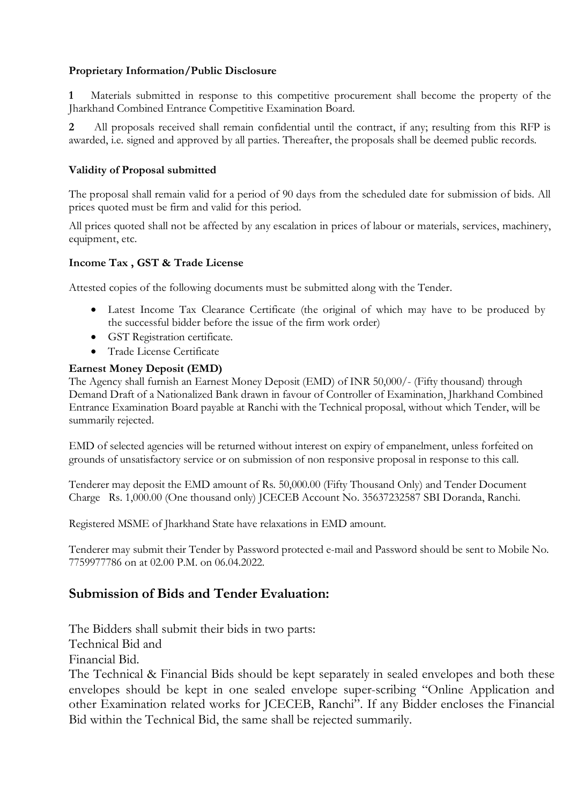## **Proprietary Information/Public Disclosure**

**1** Materials submitted in response to this competitive procurement shall become the property of the Jharkhand Combined Entrance Competitive Examination Board.

**2** All proposals received shall remain confidential until the contract, if any; resulting from this RFP is awarded, i.e. signed and approved by all parties. Thereafter, the proposals shall be deemed public records.

#### **Validity of Proposal submitted**

The proposal shall remain valid for a period of 90 days from the scheduled date for submission of bids. All prices quoted must be firm and valid for this period.

All prices quoted shall not be affected by any escalation in prices of labour or materials, services, machinery, equipment, etc.

#### **Income Tax , GST & Trade License**

Attested copies of the following documents must be submitted along with the Tender.

- · Latest Income Tax Clearance Certificate (the original of which may have to be produced by the successful bidder before the issue of the firm work order)
- · GST Registration certificate.
- · Trade License Certificate

#### **Earnest Money Deposit (EMD)**

The Agency shall furnish an Earnest Money Deposit (EMD) of INR 50,000/- (Fifty thousand) through Demand Draft of a Nationalized Bank drawn in favour of Controller of Examination, Jharkhand Combined Entrance Examination Board payable at Ranchi with the Technical proposal, without which Tender, will be summarily rejected.

EMD of selected agencies will be returned without interest on expiry of empanelment, unless forfeited on grounds of unsatisfactory service or on submission of non responsive proposal in response to this call.

Tenderer may deposit the EMD amount of Rs. 50,000.00 (Fifty Thousand Only) and Tender Document Charge Rs. 1,000.00 (One thousand only) JCECEB Account No. 35637232587 SBI Doranda, Ranchi.

Registered MSME of Jharkhand State have relaxations in EMD amount.

Tenderer may submit their Tender by Password protected e-mail and Password should be sent to Mobile No. 7759977786 on at 02.00 P.M. on 06.04.2022.

## **Submission of Bids and Tender Evaluation:**

The Bidders shall submit their bids in two parts:

Technical Bid and

Financial Bid.

The Technical & Financial Bids should be kept separately in sealed envelopes and both these envelopes should be kept in one sealed envelope super-scribing "Online Application and other Examination related works for JCECEB, Ranchi". If any Bidder encloses the Financial Bid within the Technical Bid, the same shall be rejected summarily.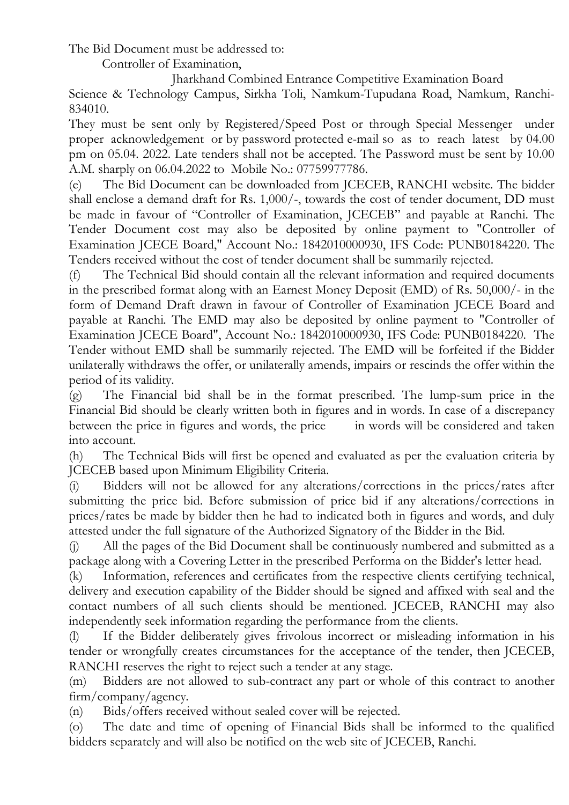The Bid Document must be addressed to:

Controller of Examination,

Jharkhand Combined Entrance Competitive Examination Board

Science & Technology Campus, Sirkha Toli, Namkum-Tupudana Road, Namkum, Ranchi-834010.

They must be sent only by Registered/Speed Post or through Special Messenger under proper acknowledgement or by password protected e-mail so as to reach latest by 04.00 pm on 05.04. 2022. Late tenders shall not be accepted. The Password must be sent by 10.00 A.M. sharply on 06.04.2022 to Mobile No.: 07759977786.

(e) The Bid Document can be downloaded from JCECEB, RANCHI website. The bidder shall enclose a demand draft for Rs. 1,000/-, towards the cost of tender document, DD must be made in favour of "Controller of Examination, JCECEB" and payable at Ranchi. The Tender Document cost may also be deposited by online payment to "Controller of Examination JCECE Board," Account No.: 1842010000930, IFS Code: PUNB0184220. The Tenders received without the cost of tender document shall be summarily rejected.

(f) The Technical Bid should contain all the relevant information and required documents in the prescribed format along with an Earnest Money Deposit (EMD) of Rs. 50,000/- in the form of Demand Draft drawn in favour of Controller of Examination JCECE Board and payable at Ranchi. The EMD may also be deposited by online payment to "Controller of Examination JCECE Board", Account No.: 1842010000930, IFS Code: PUNB0184220. The Tender without EMD shall be summarily rejected. The EMD will be forfeited if the Bidder unilaterally withdraws the offer, or unilaterally amends, impairs or rescinds the offer within the period of its validity.

(g) The Financial bid shall be in the format prescribed. The lump-sum price in the Financial Bid should be clearly written both in figures and in words. In case of a discrepancy between the price in figures and words, the price in words will be considered and taken into account.

(h) The Technical Bids will first be opened and evaluated as per the evaluation criteria by JCECEB based upon Minimum Eligibility Criteria.

(i) Bidders will not be allowed for any alterations/corrections in the prices/rates after submitting the price bid. Before submission of price bid if any alterations/corrections in prices/rates be made by bidder then he had to indicated both in figures and words, and duly attested under the full signature of the Authorized Signatory of the Bidder in the Bid.

(j) All the pages of the Bid Document shall be continuously numbered and submitted as a package along with a Covering Letter in the prescribed Performa on the Bidder's letter head.

(k) Information, references and certificates from the respective clients certifying technical, delivery and execution capability of the Bidder should be signed and affixed with seal and the contact numbers of all such clients should be mentioned. JCECEB, RANCHI may also independently seek information regarding the performance from the clients.

(l) If the Bidder deliberately gives frivolous incorrect or misleading information in his tender or wrongfully creates circumstances for the acceptance of the tender, then JCECEB, RANCHI reserves the right to reject such a tender at any stage.

(m) Bidders are not allowed to sub-contract any part or whole of this contract to another firm/company/agency.

(n) Bids/offers received without sealed cover will be rejected.

(o) The date and time of opening of Financial Bids shall be informed to the qualified bidders separately and will also be notified on the web site of JCECEB, Ranchi.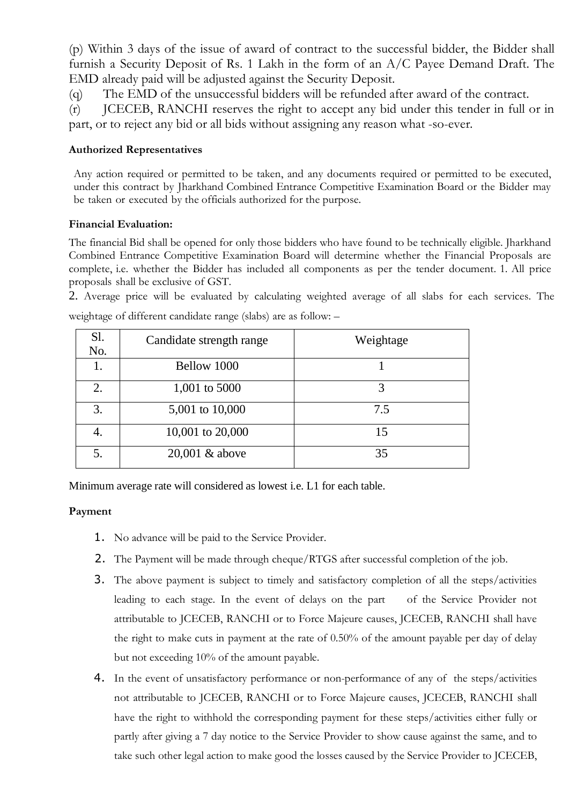(p) Within 3 days of the issue of award of contract to the successful bidder, the Bidder shall furnish a Security Deposit of Rs. 1 Lakh in the form of an A/C Payee Demand Draft. The EMD already paid will be adjusted against the Security Deposit.

(q) The EMD of the unsuccessful bidders will be refunded after award of the contract.

(r) JCECEB, RANCHI reserves the right to accept any bid under this tender in full or in part, or to reject any bid or all bids without assigning any reason what -so-ever.

#### **Authorized Representatives**

Any action required or permitted to be taken, and any documents required or permitted to be executed, under this contract by Jharkhand Combined Entrance Competitive Examination Board or the Bidder may be taken or executed by the officials authorized for the purpose.

#### **Financial Evaluation:**

The financial Bid shall be opened for only those bidders who have found to be technically eligible. Jharkhand Combined Entrance Competitive Examination Board will determine whether the Financial Proposals are complete, i.e. whether the Bidder has included all components as per the tender document. 1. All price proposals shall be exclusive of GST.

2. Average price will be evaluated by calculating weighted average of all slabs for each services. The

| Sl.<br>No. | Candidate strength range | Weightage |
|------------|--------------------------|-----------|
| 1.         | Bellow 1000              |           |
| 2.         | 1,001 to 5000            |           |
| 3.         | 5,001 to 10,000          | 7.5       |
| 4.         | 10,001 to 20,000         | 15        |
| 5.         | 20,001 & above           | 35        |

weightage of different candidate range (slabs) are as follow: –

Minimum average rate will considered as lowest i.e. L1 for each table.

## **Payment**

- 1. No advance will be paid to the Service Provider.
- 2. The Payment will be made through cheque/RTGS after successful completion of the job.
- 3. The above payment is subject to timely and satisfactory completion of all the steps/activities leading to each stage. In the event of delays on the part of the Service Provider not attributable to JCECEB, RANCHI or to Force Majeure causes, JCECEB, RANCHI shall have the right to make cuts in payment at the rate of 0.50% of the amount payable per day of delay but not exceeding 10% of the amount payable.
- 4. In the event of unsatisfactory performance or non-performance of any of the steps/activities not attributable to JCECEB, RANCHI or to Force Majeure causes, JCECEB, RANCHI shall have the right to withhold the corresponding payment for these steps/activities either fully or partly after giving a 7 day notice to the Service Provider to show cause against the same, and to take such other legal action to make good the losses caused by the Service Provider to JCECEB,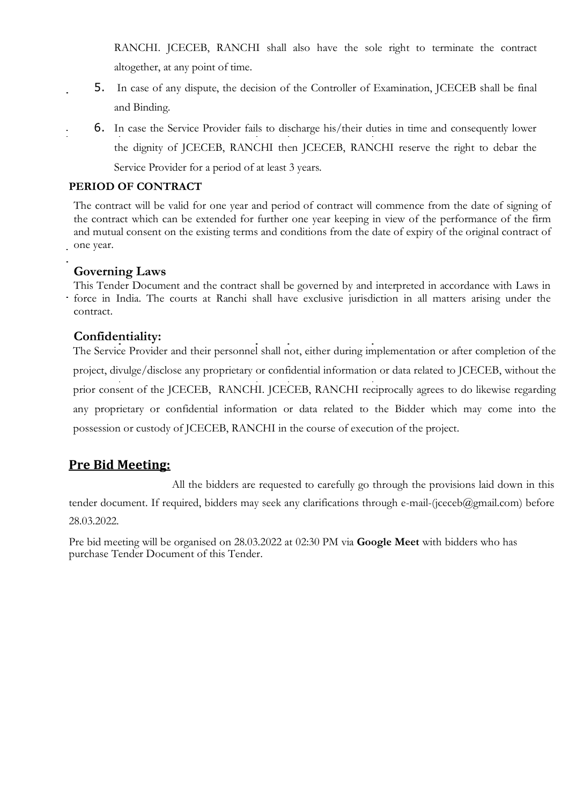RANCHI. JCECEB, RANCHI shall also have the sole right to terminate the contract altogether, at any point of time.

- 5. In case of any dispute, the decision of the Controller of Examination, JCECEB shall be final and Binding.
- 6. In case the Service Provider fails to discharge his/their duties in time and consequently lower the dignity of JCECEB, RANCHI then JCECEB, RANCHI reserve the right to debar the Service Provider for a period of at least 3 years.

## **PERIOD OF CONTRACT**

The contract will be valid for one year and period of contract will commence from the date of signing of the contract which can be extended for further one year keeping in view of the performance of the firm and mutual consent on the existing terms and conditions from the date of expiry of the original contract of one year.

## **Governing Laws**

This Tender Document and the contract shall be governed by and interpreted in accordance with Laws in force in India. The courts at Ranchi shall have exclusive jurisdiction in all matters arising under the contract.

## **Confidentiality:**

The Service Provider and their personnel shall not, either during implementation or after completion of the project, divulge/disclose any proprietary or confidential information or data related to JCECEB, without the prior consent of the JCECEB, RANCHI. JCECEB, RANCHI reciprocally agrees to do likewise regarding any proprietary or confidential information or data related to the Bidder which may come into the possession or custody of JCECEB, RANCHI in the course of execution of the project.

## **Pre Bid Meeting:**

All the bidders are requested to carefully go through the provisions laid down in this tender document. If required, bidders may seek any clarifications through e-mail-(jceceb@gmail.com) before 28.03.2022.

Pre bid meeting will be organised on 28.03.2022 at 02:30 PM via **Google Meet** with bidders who has purchase Tender Document of this Tender.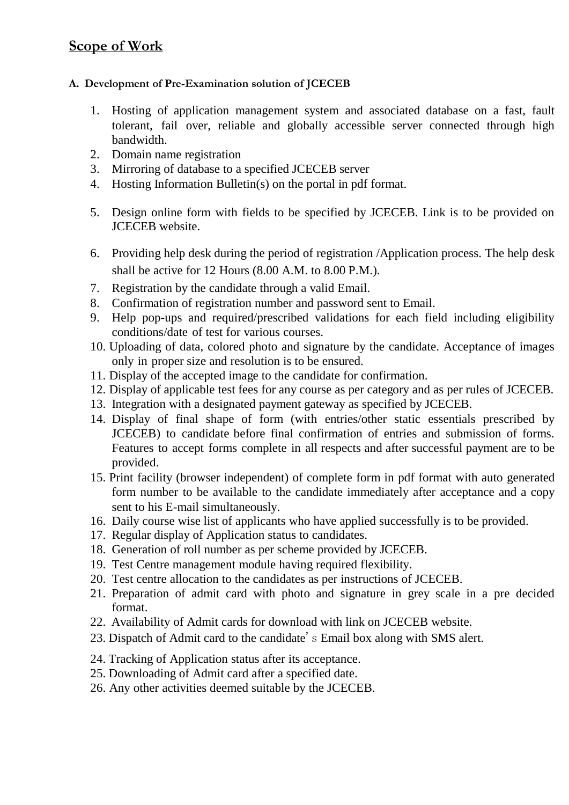## **Scope of Work**

## **A. Development of Pre-Examination solution of JCECEB**

- 1. Hosting of application management system and associated database on a fast, fault tolerant, fail over, reliable and globally accessible server connected through high bandwidth.
- 2. Domain name registration
- 3. Mirroring of database to a specified JCECEB server
- 4. Hosting Information Bulletin(s) on the portal in pdf format.
- 5. Design online form with fields to be specified by JCECEB. Link is to be provided on JCECEB website.
- 6. Providing help desk during the period of registration /Application process. The help desk shall be active for 12 Hours (8.00 A.M. to 8.00 P.M.).
- 7. Registration by the candidate through a valid Email.
- 8. Confirmation of registration number and password sent to Email.
- 9. Help pop-ups and required/prescribed validations for each field including eligibility conditions/date of test for various courses.
- 10. Uploading of data, colored photo and signature by the candidate. Acceptance of images only in proper size and resolution is to be ensured.
- 11. Display of the accepted image to the candidate for confirmation.
- 12. Display of applicable test fees for any course as per category and as per rules of JCECEB.
- 13. Integration with a designated payment gateway as specified by JCECEB.
- 14. Display of final shape of form (with entries/other static essentials prescribed by JCECEB) to candidate before final confirmation of entries and submission of forms. Features to accept forms complete in all respects and after successful payment are to be provided.
- 15. Print facility (browser independent) of complete form in pdf format with auto generated form number to be available to the candidate immediately after acceptance and a copy sent to his E-mail simultaneously.
- 16. Daily course wise list of applicants who have applied successfully is to be provided.
- 17. Regular display of Application status to candidates.
- 18. Generation of roll number as per scheme provided by JCECEB.
- 19. Test Centre management module having required flexibility.
- 20. Test centre allocation to the candidates as per instructions of JCECEB.
- 21. Preparation of admit card with photo and signature in grey scale in a pre decided format.
- 22. Availability of Admit cards for download with link on JCECEB website.
- 23. Dispatch of Admit card to the candidate's Email box along with SMS alert.
- 24. Tracking of Application status after its acceptance.
- 25. Downloading of Admit card after a specified date.
- 26. Any other activities deemed suitable by the JCECEB.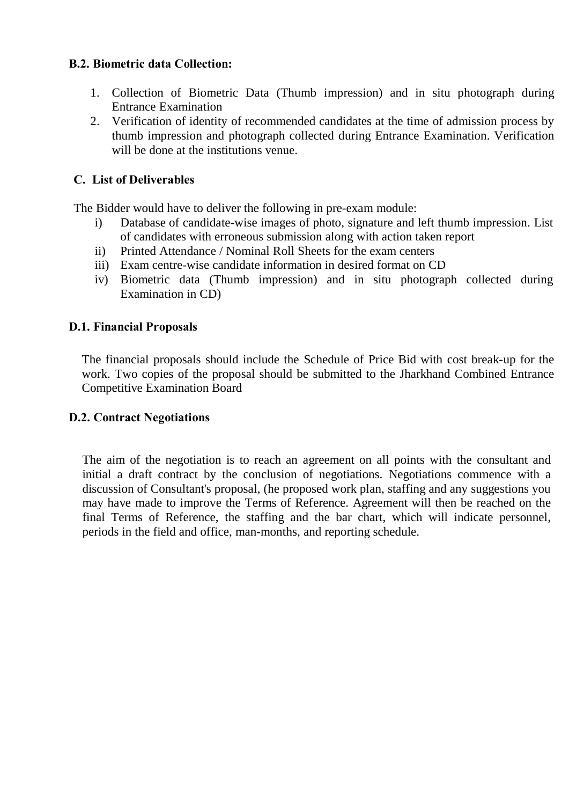## **B.2. Biometric data Collection:**

- 1. Collection of Biometric Data (Thumb impression) and in situ photograph during Entrance Examination
- 2. Verification of identity of recommended candidates at the time of admission process by thumb impression and photograph collected during Entrance Examination. Verification will be done at the institutions venue.

## **C. List of Deliverables**

The Bidder would have to deliver the following in pre-exam module:

- i) Database of candidate-wise images of photo, signature and left thumb impression. List of candidates with erroneous submission along with action taken report
- ii) Printed Attendance / Nominal Roll Sheets for the exam centers
- iii) Exam centre-wise candidate information in desired format on CD
- iv) Biometric data (Thumb impression) and in situ photograph collected during Examination in CD)

## **D.1. Financial Proposals**

The financial proposals should include the Schedule of Price Bid with cost break-up for the work. Two copies of the proposal should be submitted to the Jharkhand Combined Entrance Competitive Examination Board

## **D.2. Contract Negotiations**

The aim of the negotiation is to reach an agreement on all points with the consultant and initial a draft contract by the conclusion of negotiations. Negotiations commence with a discussion of Consultant's proposal, (he proposed work plan, staffing and any suggestions you may have made to improve the Terms of Reference. Agreement will then be reached on the final Terms of Reference, the staffing and the bar chart, which will indicate personnel, periods in the field and office, man-months, and reporting schedule.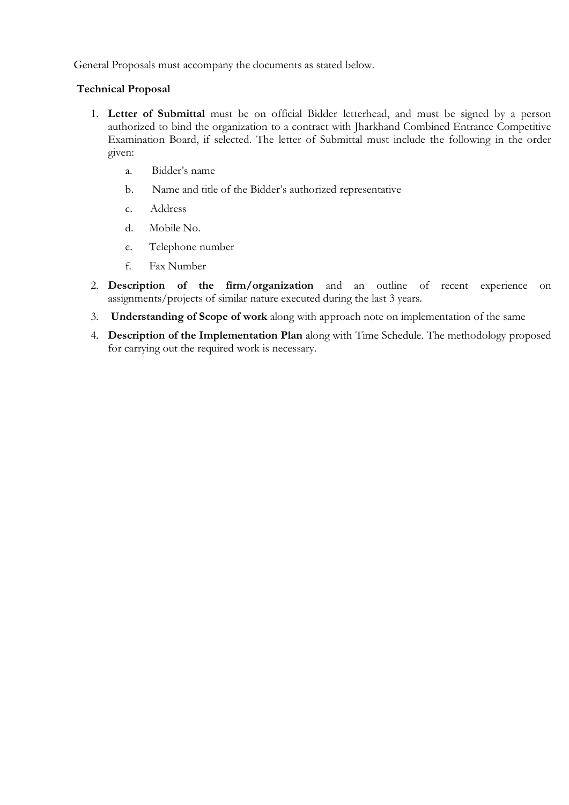General Proposals must accompany the documents as stated below.

#### **Technical Proposal**

- 1. **Letter of Submittal** must be on official Bidder letterhead, and must be signed by a person authorized to bind the organization to a contract with Jharkhand Combined Entrance Competitive Examination Board, if selected. The letter of Submittal must include the following in the order given:
	- a. Bidder's name
	- b. Name and title of the Bidder's authorized representative
	- c. Address
	- d. Mobile No.
	- e. Telephone number
	- f. Fax Number
- 2. **Description of the firm/organization** and an outline of recent experience on assignments/projects of similar nature executed during the last 3 years.
- 3. **Understanding of Scope of work** along with approach note on implementation of the same
- 4. **Description of the Implementation Plan** along with Time Schedule. The methodology proposed for carrying out the required work is necessary.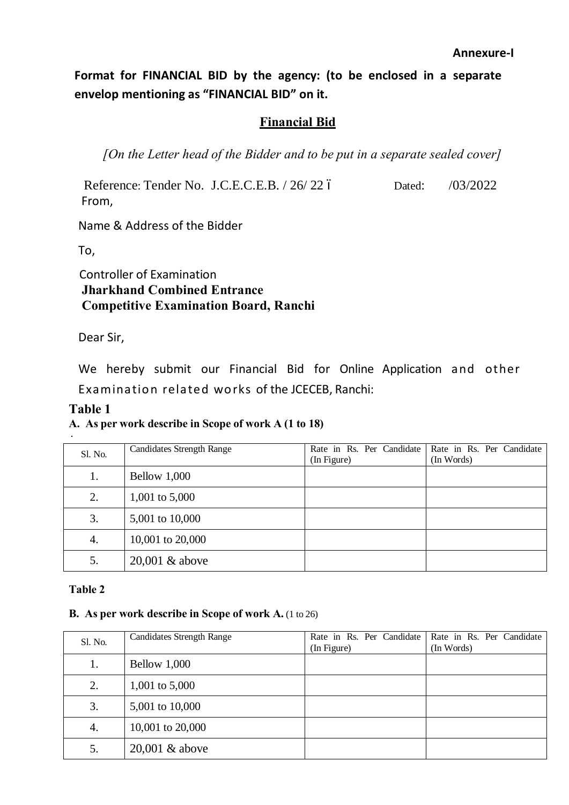**Format for FINANCIAL BID by the agency: (to be enclosed in a separate envelop mentioning as "FINANCIAL BID" on it.**

## **Financial Bid**

*[On the Letter head of the Bidder and to be put in a separate sealed cover]*

Reference: Tender No. J.C.E.C.E.B. / 26/ 22 ó Dated: /03/2022 From,

Name & Address of the Bidder

To,

## Controller of Examination  **Jharkhand Combined Entrance Competitive Examination Board, Ranchi**

Dear Sir,

We hereby submit our Financial Bid for Online Application and other Examination related works of the JCECEB, Ranchi:

## **Table 1**

## **A. As per work describe in Scope of work A (1 to 18)**

| Sl. No. | <b>Candidates Strength Range</b> | Rate in Rs. Per Candidate<br>(In Figure) | Rate in Rs. Per Candidate<br>(In Words) |
|---------|----------------------------------|------------------------------------------|-----------------------------------------|
| 1.      | <b>Bellow 1,000</b>              |                                          |                                         |
| 2.      | 1,001 to 5,000                   |                                          |                                         |
| 3.      | 5,001 to 10,000                  |                                          |                                         |
| 4.      | 10,001 to 20,000                 |                                          |                                         |
| 5.      | $20,001$ & above                 |                                          |                                         |

## **Table 2**

## **B. As per work describe in Scope of work A.** (1 to 26)

| Sl. No. | <b>Candidates Strength Range</b> | Rate in Rs. Per Candidate<br>(In Figure) | Rate in Rs. Per Candidate<br>(In Words) |
|---------|----------------------------------|------------------------------------------|-----------------------------------------|
| 1.      | Bellow 1,000                     |                                          |                                         |
| 2.      | 1,001 to 5,000                   |                                          |                                         |
| 3.      | 5,001 to 10,000                  |                                          |                                         |
| 4.      | 10,001 to 20,000                 |                                          |                                         |
| 5.      | $20,001$ & above                 |                                          |                                         |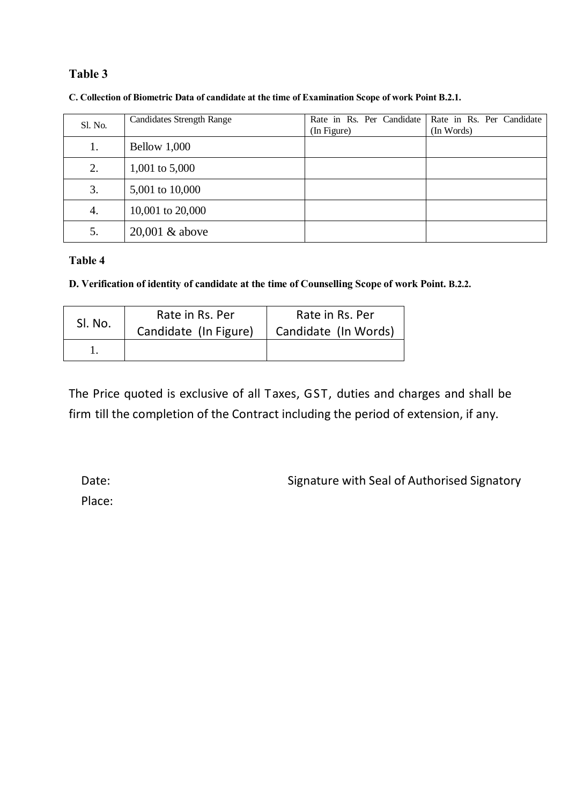## **Table 3**

| Sl. No. | <b>Candidates Strength Range</b> | Rate in Rs. Per Candidate<br>(In Figure) | Rate in Rs. Per Candidate<br>(In Words) |
|---------|----------------------------------|------------------------------------------|-----------------------------------------|
| 1.      | Bellow 1,000                     |                                          |                                         |
| 2.      | 1,001 to 5,000                   |                                          |                                         |
| 3.      | 5,001 to 10,000                  |                                          |                                         |
| 4.      | 10,001 to 20,000                 |                                          |                                         |
| 5.      | $20,001$ & above                 |                                          |                                         |

**C. Collection of Biometric Data of candidate at the time of Examination Scope of work Point B.2.1.**

## **Table 4**

**D. Verification of identity of candidate at the time of Counselling Scope of work Point. B.2.2.**

| SI. No. | Rate in Rs. Per       | Rate in Rs. Per      |  |
|---------|-----------------------|----------------------|--|
|         | Candidate (In Figure) | Candidate (In Words) |  |
|         |                       |                      |  |

The Price quoted is exclusive of all Taxes, GST, duties and charges and shall be firm till the completion of the Contract including the period of extension, if any.

Date: Signature with Seal of Authorised Signatory

Place: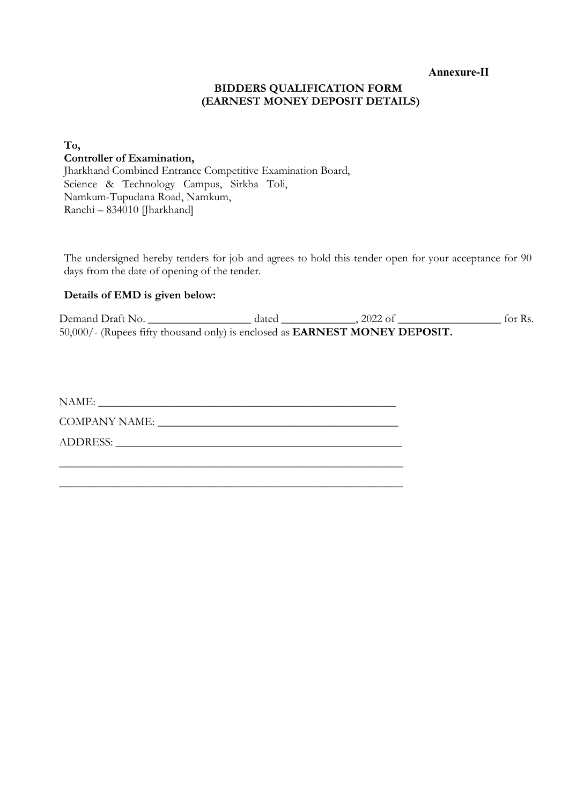**Annexure-II**

#### **BIDDERS QUALIFICATION FORM (EARNEST MONEY DEPOSIT DETAILS)**

## **To, Controller of Examination,**

Jharkhand Combined Entrance Competitive Examination Board, Science & Technology Campus, Sirkha Toli, Namkum-Tupudana Road, Namkum, Ranchi – 834010 [Jharkhand]

The undersigned hereby tenders for job and agrees to hold this tender open for your acceptance for 90 days from the date of opening of the tender.

#### **Details of EMD is given below:**

Demand Draft No.  $\qquad \qquad$  dated  $\qquad \qquad$  , 2022 of  $\qquad \qquad$  for Rs. 50,000/- (Rupees fifty thousand only) is enclosed as **EARNEST MONEY DEPOSIT.**

| NAME:         |
|---------------|
| COMPANY NAME: |
|               |
|               |

\_\_\_\_\_\_\_\_\_\_\_\_\_\_\_\_\_\_\_\_\_\_\_\_\_\_\_\_\_\_\_\_\_\_\_\_\_\_\_\_\_\_\_\_\_\_\_\_\_\_\_\_\_\_\_\_\_\_\_\_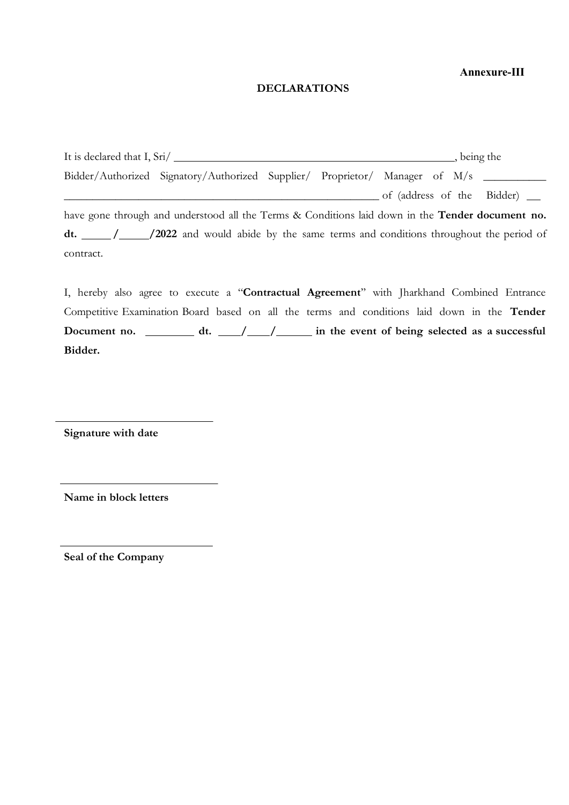#### **Annexure-III**

#### **DECLARATIONS**

It is declared that I, Sri/  $\frac{1}{2}$ , being the Bidder/Authorized Signatory/Authorized Supplier/ Proprietor/ Manager of M/s \_\_\_\_\_\_\_\_\_\_\_ \_\_\_\_\_\_\_\_\_\_\_\_\_\_\_\_\_\_\_\_\_\_\_\_\_\_\_\_\_\_\_\_\_\_\_\_\_\_\_\_\_\_\_\_\_\_\_\_\_\_\_\_\_\_\_ of (address of the Bidder) have gone through and understood all the Terms & Conditions laid down in the **Tender document no.**  dt.  $\frac{1}{2022}$  and would abide by the same terms and conditions throughout the period of contract.

I, hereby also agree to execute a "**Contractual Agreement**'' with Jharkhand Combined Entrance Competitive Examination Board based on all the terms and conditions laid down in the **Tender Document no. dt. / / in the event of being selected as a successful Bidder.**

**Signature with date**

**Name in block letters**

**Seal of the Company**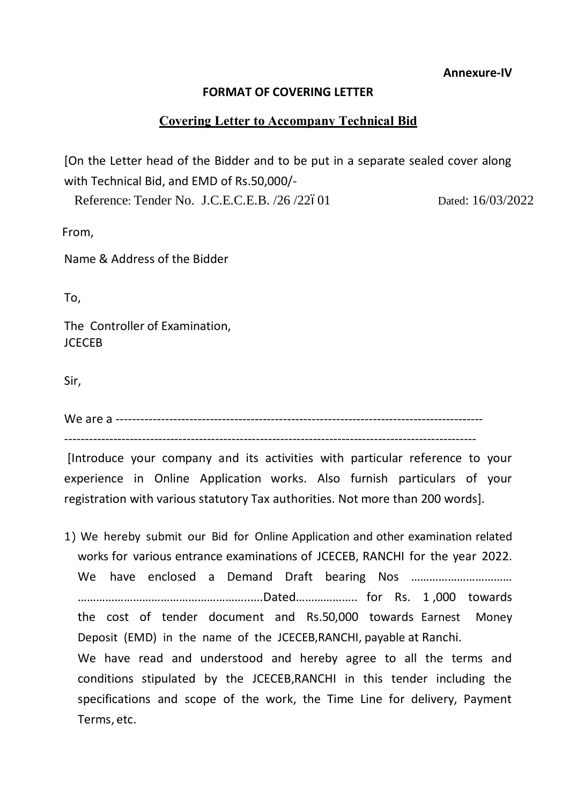**Annexure-IV**

## **FORMAT OF COVERING LETTER**

## **Covering Letter to Accompany Technical Bid**

[On the Letter head of the Bidder and to be put in a separate sealed cover along with Technical Bid, and EMD of Rs.50,000/-

Reference: Tender No. J.C.E.C.E.B. /26 /22601 Dated: 16/03/2022

From,

Name & Address of the Bidder

To,

The Controller of Examination, **JCECEB** 

Sir,

We are a ------------------------------------------------------------------------------------------

-----------------------------------------------------------------------------------------------------

[Introduce your company and its activities with particular reference to your experience in Online Application works. Also furnish particulars of your registration with various statutory Tax authorities. Not more than 200 words].

1) We hereby submit our Bid for Online Application and other examination related works for various entrance examinations of JCECEB, RANCHI for the year 2022. We have enclosed a Demand Draft bearing Nos …………………………… ………………………………………………..….Dated……………….. for Rs. 1 ,000 towards the cost of tender document and Rs.50,000 towards Earnest Money Deposit (EMD) in the name of the JCECEB,RANCHI, payable at Ranchi. We have read and understood and hereby agree to all the terms and conditions stipulated by the JCECEB,RANCHI in this tender including the specifications and scope of the work, the Time Line for delivery, Payment Terms, etc.